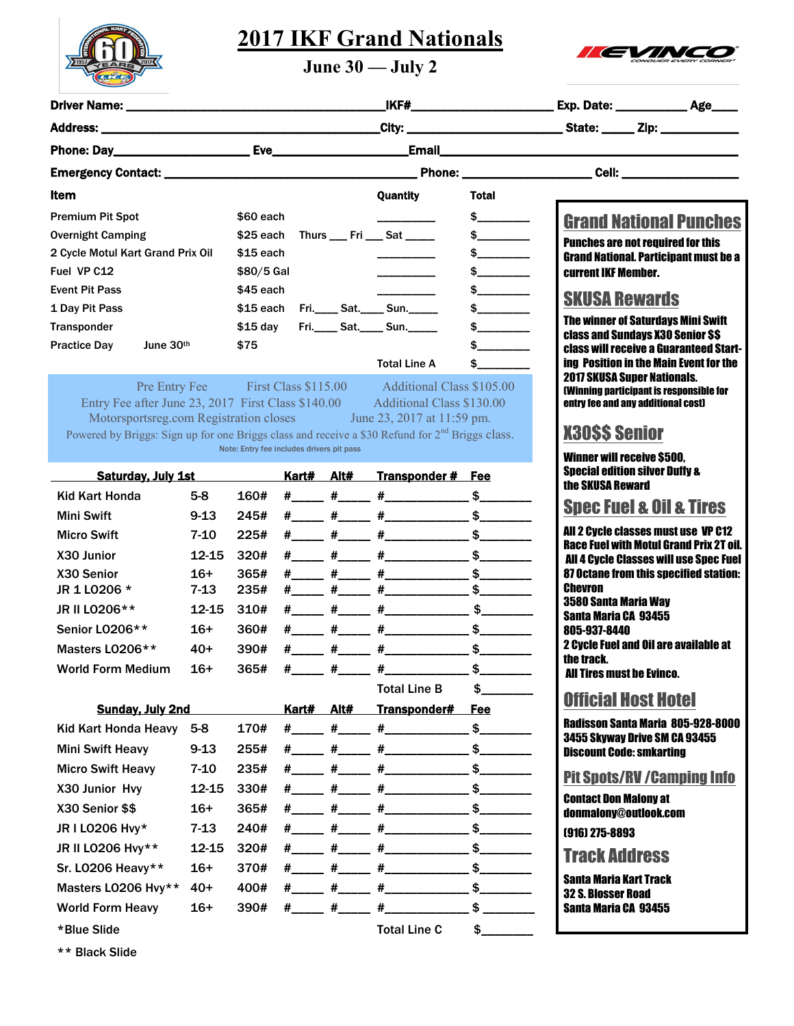

## **2017 IKF Grand Nationals**



**June 30 — July 2**

| _City: _________________________________State: _______ Zip: ____________________<br>Item<br>Quantity<br><b>Total</b><br>$\frac{1}{2}$<br>\$60 each<br><b>Premium Pit Spot</b><br><b>Grand National Punches</b><br>\$25 each Thurs ___ Fri ___ Sat _____<br><b>Overnight Camping</b><br><b>Punches are not required for this</b><br>$$15$ each<br>$\frac{1}{2}$<br>$\begin{array}{cccccccccc} \multicolumn{2}{c}{} & \multicolumn{2}{c}{} & \multicolumn{2}{c}{} & \multicolumn{2}{c}{} & \multicolumn{2}{c}{} & \multicolumn{2}{c}{} & \multicolumn{2}{c}{} & \multicolumn{2}{c}{} & \multicolumn{2}{c}{} & \multicolumn{2}{c}{} & \multicolumn{2}{c}{} & \multicolumn{2}{c}{} & \multicolumn{2}{c}{} & \multicolumn{2}{c}{} & \multicolumn{2}{c}{} & \multicolumn{2}{c}{} & \multicolumn{2}{c}{} & \multicolumn{2}{c}{} & \multicolumn{2}{c}{} & \mult$<br><b>Grand National. Participant must be a</b><br>Fuel VP C12<br>\$80/5 Gal<br>\$__________<br>current IKF Member.<br><b>Event Pit Pass</b><br>\$45 each<br>$\frac{1}{2}$<br><b>SKUSA Rewards</b><br>$\frac{1}{2}$<br>Fri._____ Sat._____ Sun.______<br>\$15 each<br>The winner of Saturdays Mini Swift<br>Fri._____ Sat._____ Sun.______<br>$\frac{1}{2}$<br>\$15 day<br>class and Sundays X30 Senior \$\$<br>June 30th<br>\$75<br>\$<br><b>class will receive a Guaranteed Start-</b><br>ing Position in the Main Event for the<br><b>Total Line A</b><br>$\sim$<br><b>2017 SKUSA Super Nationals.</b><br>Pre Entry Fee First Class \$115.00 Additional Class \$105.00<br><b>(Winning participant is responsible for</b><br>Entry Fee after June 23, 2017 First Class \$140.00 Additional Class \$130.00<br>entry fee and any additional cost)<br>Motorsportsreg.com Registration closes June 23, 2017 at 11:59 pm.<br><b>X30SS Senior</b><br>Powered by Briggs: Sign up for one Briggs class and receive a \$30 Refund for 2 <sup>nd</sup> Briggs class.<br>Note: Entry fee includes drivers pit pass<br><b>Winner will receive \$500.</b><br><b>Special edition silver Duffy &amp;</b><br><b>Saturday, July 1st</b><br>Kart# Alt# Transponder # Fee<br>the SKUSA Reward<br>$\frac{\#$ $\qquad \qquad \#$ $\qquad \qquad \#$ $\qquad \qquad \qquad$ \$<br><b>Kid Kart Honda</b><br>160#<br>$5-8$<br><b>Spec Fuel &amp; Oil &amp; Tires</b><br>$\frac{\#$ $\qquad \qquad \#$ $\qquad \qquad \#$ $\qquad \qquad \qquad$ $\qquad \qquad$ $\qquad \qquad$<br>245#<br><b>Mini Swift</b><br>$9 - 13$<br>All 2 Cycle classes must use VP C12<br>$7 - 10$<br>225#<br><b>Micro Swift</b><br><b>Race Fuel with Motul Grand Prix 2T oil.</b><br>12-15<br>320#<br>X30 Junior<br>All 4 Cycle Classes will use Spec Fuel<br>$16+$<br>365#<br><b>87 Octane from this specified station:</b><br>X30 Senior<br><b>Chevron</b><br>JR 1 L0206 *<br>$7 - 13$<br>235#<br>3580 Santa Maria Way<br>JR II LO206**<br>12-15<br>310#<br>Santa Maria CA 93455<br>$\frac{H_{\perp\perp\perp\perp}}{H_{\perp\perp\perp\perp}}$ $\frac{H_{\perp\perp\perp\perp\perp\perp}}{H_{\perp\perp\perp\perp\perp}}$ \$_______<br>360#<br>Senior LO206**<br>16+<br>805-937-8440<br>2 Cycle Fuel and Oil are available at<br>$40+$<br>390#<br>Masters LO206**<br>the track.<br><b>World Form Medium</b><br>\$<br>$16+$<br>365#<br>$#_{\_}$<br><b>All Tires must be Evinco.</b><br><b>Total Line B</b><br>$\frac{1}{2}$<br><b>Official Host Hotel</b><br><b>Sunday, July 2nd</b><br>Kart# Alt#<br>Transponder#<br><u>Fee</u><br><b>Radisson Santa Maria 805-928-8000</b><br>$\frac{1}{2}$<br>170#<br>#______ #______ #_______________<br><b>Kid Kart Honda Heavy</b><br>5-8<br>3455 Skyway Drive SM CA 93455<br><b>Mini Swift Heavy</b><br>$9 - 13$<br>255#<br><b>Discount Code: smkarting</b><br><b>Micro Swift Heavy</b><br>7-10<br>235#<br><b>Pit Spots/RV/Camping Info</b><br>X30 Junior Hvy<br>12-15<br>330#<br><b>Contact Don Malony at</b><br>$\frac{\#$ $\qquad \qquad \#$ $\qquad \qquad \#$ $\qquad \qquad \qquad \#$ $\qquad \qquad \qquad$<br>X30 Senior \$\$<br>$16+$<br>365#<br>donmalony@outlook.com<br>JR I LO206 Hvy*<br>$7 - 13$<br>240#<br>(916) 275-8893<br>JR II LO206 Hvy**<br>12-15<br>320#<br><b>Track Address</b><br>Sr. LO206 Heavy**<br>$16+$<br>370#<br><b>Santa Maria Kart Track</b><br>$\frac{\#$ $\qquad \qquad \#$ $\qquad \qquad \#$ $\qquad \qquad \qquad$ $\qquad \qquad$ $\qquad \qquad$<br>Masters LO206 Hvy**<br>$40+$<br>400#<br><b>32 S. Blosser Road</b><br><b>World Form Heavy</b><br>$16+$<br>390#<br>Santa Maria CA 93455<br>*Blue Slide<br><b>Total Line C</b><br>\$ |                                   |  |  |  |  |  |  |  |  |
|--------------------------------------------------------------------------------------------------------------------------------------------------------------------------------------------------------------------------------------------------------------------------------------------------------------------------------------------------------------------------------------------------------------------------------------------------------------------------------------------------------------------------------------------------------------------------------------------------------------------------------------------------------------------------------------------------------------------------------------------------------------------------------------------------------------------------------------------------------------------------------------------------------------------------------------------------------------------------------------------------------------------------------------------------------------------------------------------------------------------------------------------------------------------------------------------------------------------------------------------------------------------------------------------------------------------------------------------------------------------------------------------------------------------------------------------------------------------------------------------------------------------------------------------------------------------------------------------------------------------------------------------------------------------------------------------------------------------------------------------------------------------------------------------------------------------------------------------------------------------------------------------------------------------------------------------------------------------------------------------------------------------------------------------------------------------------------------------------------------------------------------------------------------------------------------------------------------------------------------------------------------------------------------------------------------------------------------------------------------------------------------------------------------------------------------------------------------------------------------------------------------------------------------------------------------------------------------------------------------------------------------------------------------------------------------------------------------------------------------------------------------------------------------------------------------------------------------------------------------------------------------------------------------------------------------------------------------------------------------------------------------------------------------------------------------------------------------------------------------------------------------------------------------------------------------------------------------------------------------------------------------------------------------------------------------------------------------------------------------------------------------------------------------------------------------------------------------------------------------------------------------------------------------------------------------------------------------------------------------------------------------------------------------------------------------------------------------------------------------------------------------------------------------------------------------------------------------------------------------------------------------------------------------------------------------------------------------------------------------------------------------------------------------------------------------------------------------------------------------------------------------------------------------------------------------------------------------------------------------------------------------------------------------------------------------------------------------------------------------------------------------------------------------------------------------------------------------------------------------------------------------------------------------|-----------------------------------|--|--|--|--|--|--|--|--|
|                                                                                                                                                                                                                                                                                                                                                                                                                                                                                                                                                                                                                                                                                                                                                                                                                                                                                                                                                                                                                                                                                                                                                                                                                                                                                                                                                                                                                                                                                                                                                                                                                                                                                                                                                                                                                                                                                                                                                                                                                                                                                                                                                                                                                                                                                                                                                                                                                                                                                                                                                                                                                                                                                                                                                                                                                                                                                                                                                                                                                                                                                                                                                                                                                                                                                                                                                                                                                                                                                                                                                                                                                                                                                                                                                                                                                                                                                                                                                                                                                                                                                                                                                                                                                                                                                                                                                                                                                                                                                                                                      |                                   |  |  |  |  |  |  |  |  |
|                                                                                                                                                                                                                                                                                                                                                                                                                                                                                                                                                                                                                                                                                                                                                                                                                                                                                                                                                                                                                                                                                                                                                                                                                                                                                                                                                                                                                                                                                                                                                                                                                                                                                                                                                                                                                                                                                                                                                                                                                                                                                                                                                                                                                                                                                                                                                                                                                                                                                                                                                                                                                                                                                                                                                                                                                                                                                                                                                                                                                                                                                                                                                                                                                                                                                                                                                                                                                                                                                                                                                                                                                                                                                                                                                                                                                                                                                                                                                                                                                                                                                                                                                                                                                                                                                                                                                                                                                                                                                                                                      |                                   |  |  |  |  |  |  |  |  |
|                                                                                                                                                                                                                                                                                                                                                                                                                                                                                                                                                                                                                                                                                                                                                                                                                                                                                                                                                                                                                                                                                                                                                                                                                                                                                                                                                                                                                                                                                                                                                                                                                                                                                                                                                                                                                                                                                                                                                                                                                                                                                                                                                                                                                                                                                                                                                                                                                                                                                                                                                                                                                                                                                                                                                                                                                                                                                                                                                                                                                                                                                                                                                                                                                                                                                                                                                                                                                                                                                                                                                                                                                                                                                                                                                                                                                                                                                                                                                                                                                                                                                                                                                                                                                                                                                                                                                                                                                                                                                                                                      |                                   |  |  |  |  |  |  |  |  |
|                                                                                                                                                                                                                                                                                                                                                                                                                                                                                                                                                                                                                                                                                                                                                                                                                                                                                                                                                                                                                                                                                                                                                                                                                                                                                                                                                                                                                                                                                                                                                                                                                                                                                                                                                                                                                                                                                                                                                                                                                                                                                                                                                                                                                                                                                                                                                                                                                                                                                                                                                                                                                                                                                                                                                                                                                                                                                                                                                                                                                                                                                                                                                                                                                                                                                                                                                                                                                                                                                                                                                                                                                                                                                                                                                                                                                                                                                                                                                                                                                                                                                                                                                                                                                                                                                                                                                                                                                                                                                                                                      |                                   |  |  |  |  |  |  |  |  |
|                                                                                                                                                                                                                                                                                                                                                                                                                                                                                                                                                                                                                                                                                                                                                                                                                                                                                                                                                                                                                                                                                                                                                                                                                                                                                                                                                                                                                                                                                                                                                                                                                                                                                                                                                                                                                                                                                                                                                                                                                                                                                                                                                                                                                                                                                                                                                                                                                                                                                                                                                                                                                                                                                                                                                                                                                                                                                                                                                                                                                                                                                                                                                                                                                                                                                                                                                                                                                                                                                                                                                                                                                                                                                                                                                                                                                                                                                                                                                                                                                                                                                                                                                                                                                                                                                                                                                                                                                                                                                                                                      |                                   |  |  |  |  |  |  |  |  |
|                                                                                                                                                                                                                                                                                                                                                                                                                                                                                                                                                                                                                                                                                                                                                                                                                                                                                                                                                                                                                                                                                                                                                                                                                                                                                                                                                                                                                                                                                                                                                                                                                                                                                                                                                                                                                                                                                                                                                                                                                                                                                                                                                                                                                                                                                                                                                                                                                                                                                                                                                                                                                                                                                                                                                                                                                                                                                                                                                                                                                                                                                                                                                                                                                                                                                                                                                                                                                                                                                                                                                                                                                                                                                                                                                                                                                                                                                                                                                                                                                                                                                                                                                                                                                                                                                                                                                                                                                                                                                                                                      |                                   |  |  |  |  |  |  |  |  |
|                                                                                                                                                                                                                                                                                                                                                                                                                                                                                                                                                                                                                                                                                                                                                                                                                                                                                                                                                                                                                                                                                                                                                                                                                                                                                                                                                                                                                                                                                                                                                                                                                                                                                                                                                                                                                                                                                                                                                                                                                                                                                                                                                                                                                                                                                                                                                                                                                                                                                                                                                                                                                                                                                                                                                                                                                                                                                                                                                                                                                                                                                                                                                                                                                                                                                                                                                                                                                                                                                                                                                                                                                                                                                                                                                                                                                                                                                                                                                                                                                                                                                                                                                                                                                                                                                                                                                                                                                                                                                                                                      | 2 Cycle Motul Kart Grand Prix Oil |  |  |  |  |  |  |  |  |
|                                                                                                                                                                                                                                                                                                                                                                                                                                                                                                                                                                                                                                                                                                                                                                                                                                                                                                                                                                                                                                                                                                                                                                                                                                                                                                                                                                                                                                                                                                                                                                                                                                                                                                                                                                                                                                                                                                                                                                                                                                                                                                                                                                                                                                                                                                                                                                                                                                                                                                                                                                                                                                                                                                                                                                                                                                                                                                                                                                                                                                                                                                                                                                                                                                                                                                                                                                                                                                                                                                                                                                                                                                                                                                                                                                                                                                                                                                                                                                                                                                                                                                                                                                                                                                                                                                                                                                                                                                                                                                                                      |                                   |  |  |  |  |  |  |  |  |
|                                                                                                                                                                                                                                                                                                                                                                                                                                                                                                                                                                                                                                                                                                                                                                                                                                                                                                                                                                                                                                                                                                                                                                                                                                                                                                                                                                                                                                                                                                                                                                                                                                                                                                                                                                                                                                                                                                                                                                                                                                                                                                                                                                                                                                                                                                                                                                                                                                                                                                                                                                                                                                                                                                                                                                                                                                                                                                                                                                                                                                                                                                                                                                                                                                                                                                                                                                                                                                                                                                                                                                                                                                                                                                                                                                                                                                                                                                                                                                                                                                                                                                                                                                                                                                                                                                                                                                                                                                                                                                                                      |                                   |  |  |  |  |  |  |  |  |
|                                                                                                                                                                                                                                                                                                                                                                                                                                                                                                                                                                                                                                                                                                                                                                                                                                                                                                                                                                                                                                                                                                                                                                                                                                                                                                                                                                                                                                                                                                                                                                                                                                                                                                                                                                                                                                                                                                                                                                                                                                                                                                                                                                                                                                                                                                                                                                                                                                                                                                                                                                                                                                                                                                                                                                                                                                                                                                                                                                                                                                                                                                                                                                                                                                                                                                                                                                                                                                                                                                                                                                                                                                                                                                                                                                                                                                                                                                                                                                                                                                                                                                                                                                                                                                                                                                                                                                                                                                                                                                                                      | 1 Day Pit Pass                    |  |  |  |  |  |  |  |  |
|                                                                                                                                                                                                                                                                                                                                                                                                                                                                                                                                                                                                                                                                                                                                                                                                                                                                                                                                                                                                                                                                                                                                                                                                                                                                                                                                                                                                                                                                                                                                                                                                                                                                                                                                                                                                                                                                                                                                                                                                                                                                                                                                                                                                                                                                                                                                                                                                                                                                                                                                                                                                                                                                                                                                                                                                                                                                                                                                                                                                                                                                                                                                                                                                                                                                                                                                                                                                                                                                                                                                                                                                                                                                                                                                                                                                                                                                                                                                                                                                                                                                                                                                                                                                                                                                                                                                                                                                                                                                                                                                      | Transponder                       |  |  |  |  |  |  |  |  |
|                                                                                                                                                                                                                                                                                                                                                                                                                                                                                                                                                                                                                                                                                                                                                                                                                                                                                                                                                                                                                                                                                                                                                                                                                                                                                                                                                                                                                                                                                                                                                                                                                                                                                                                                                                                                                                                                                                                                                                                                                                                                                                                                                                                                                                                                                                                                                                                                                                                                                                                                                                                                                                                                                                                                                                                                                                                                                                                                                                                                                                                                                                                                                                                                                                                                                                                                                                                                                                                                                                                                                                                                                                                                                                                                                                                                                                                                                                                                                                                                                                                                                                                                                                                                                                                                                                                                                                                                                                                                                                                                      | <b>Practice Day</b>               |  |  |  |  |  |  |  |  |
|                                                                                                                                                                                                                                                                                                                                                                                                                                                                                                                                                                                                                                                                                                                                                                                                                                                                                                                                                                                                                                                                                                                                                                                                                                                                                                                                                                                                                                                                                                                                                                                                                                                                                                                                                                                                                                                                                                                                                                                                                                                                                                                                                                                                                                                                                                                                                                                                                                                                                                                                                                                                                                                                                                                                                                                                                                                                                                                                                                                                                                                                                                                                                                                                                                                                                                                                                                                                                                                                                                                                                                                                                                                                                                                                                                                                                                                                                                                                                                                                                                                                                                                                                                                                                                                                                                                                                                                                                                                                                                                                      |                                   |  |  |  |  |  |  |  |  |
|                                                                                                                                                                                                                                                                                                                                                                                                                                                                                                                                                                                                                                                                                                                                                                                                                                                                                                                                                                                                                                                                                                                                                                                                                                                                                                                                                                                                                                                                                                                                                                                                                                                                                                                                                                                                                                                                                                                                                                                                                                                                                                                                                                                                                                                                                                                                                                                                                                                                                                                                                                                                                                                                                                                                                                                                                                                                                                                                                                                                                                                                                                                                                                                                                                                                                                                                                                                                                                                                                                                                                                                                                                                                                                                                                                                                                                                                                                                                                                                                                                                                                                                                                                                                                                                                                                                                                                                                                                                                                                                                      |                                   |  |  |  |  |  |  |  |  |
|                                                                                                                                                                                                                                                                                                                                                                                                                                                                                                                                                                                                                                                                                                                                                                                                                                                                                                                                                                                                                                                                                                                                                                                                                                                                                                                                                                                                                                                                                                                                                                                                                                                                                                                                                                                                                                                                                                                                                                                                                                                                                                                                                                                                                                                                                                                                                                                                                                                                                                                                                                                                                                                                                                                                                                                                                                                                                                                                                                                                                                                                                                                                                                                                                                                                                                                                                                                                                                                                                                                                                                                                                                                                                                                                                                                                                                                                                                                                                                                                                                                                                                                                                                                                                                                                                                                                                                                                                                                                                                                                      |                                   |  |  |  |  |  |  |  |  |
|                                                                                                                                                                                                                                                                                                                                                                                                                                                                                                                                                                                                                                                                                                                                                                                                                                                                                                                                                                                                                                                                                                                                                                                                                                                                                                                                                                                                                                                                                                                                                                                                                                                                                                                                                                                                                                                                                                                                                                                                                                                                                                                                                                                                                                                                                                                                                                                                                                                                                                                                                                                                                                                                                                                                                                                                                                                                                                                                                                                                                                                                                                                                                                                                                                                                                                                                                                                                                                                                                                                                                                                                                                                                                                                                                                                                                                                                                                                                                                                                                                                                                                                                                                                                                                                                                                                                                                                                                                                                                                                                      |                                   |  |  |  |  |  |  |  |  |
|                                                                                                                                                                                                                                                                                                                                                                                                                                                                                                                                                                                                                                                                                                                                                                                                                                                                                                                                                                                                                                                                                                                                                                                                                                                                                                                                                                                                                                                                                                                                                                                                                                                                                                                                                                                                                                                                                                                                                                                                                                                                                                                                                                                                                                                                                                                                                                                                                                                                                                                                                                                                                                                                                                                                                                                                                                                                                                                                                                                                                                                                                                                                                                                                                                                                                                                                                                                                                                                                                                                                                                                                                                                                                                                                                                                                                                                                                                                                                                                                                                                                                                                                                                                                                                                                                                                                                                                                                                                                                                                                      |                                   |  |  |  |  |  |  |  |  |
|                                                                                                                                                                                                                                                                                                                                                                                                                                                                                                                                                                                                                                                                                                                                                                                                                                                                                                                                                                                                                                                                                                                                                                                                                                                                                                                                                                                                                                                                                                                                                                                                                                                                                                                                                                                                                                                                                                                                                                                                                                                                                                                                                                                                                                                                                                                                                                                                                                                                                                                                                                                                                                                                                                                                                                                                                                                                                                                                                                                                                                                                                                                                                                                                                                                                                                                                                                                                                                                                                                                                                                                                                                                                                                                                                                                                                                                                                                                                                                                                                                                                                                                                                                                                                                                                                                                                                                                                                                                                                                                                      |                                   |  |  |  |  |  |  |  |  |
|                                                                                                                                                                                                                                                                                                                                                                                                                                                                                                                                                                                                                                                                                                                                                                                                                                                                                                                                                                                                                                                                                                                                                                                                                                                                                                                                                                                                                                                                                                                                                                                                                                                                                                                                                                                                                                                                                                                                                                                                                                                                                                                                                                                                                                                                                                                                                                                                                                                                                                                                                                                                                                                                                                                                                                                                                                                                                                                                                                                                                                                                                                                                                                                                                                                                                                                                                                                                                                                                                                                                                                                                                                                                                                                                                                                                                                                                                                                                                                                                                                                                                                                                                                                                                                                                                                                                                                                                                                                                                                                                      |                                   |  |  |  |  |  |  |  |  |
|                                                                                                                                                                                                                                                                                                                                                                                                                                                                                                                                                                                                                                                                                                                                                                                                                                                                                                                                                                                                                                                                                                                                                                                                                                                                                                                                                                                                                                                                                                                                                                                                                                                                                                                                                                                                                                                                                                                                                                                                                                                                                                                                                                                                                                                                                                                                                                                                                                                                                                                                                                                                                                                                                                                                                                                                                                                                                                                                                                                                                                                                                                                                                                                                                                                                                                                                                                                                                                                                                                                                                                                                                                                                                                                                                                                                                                                                                                                                                                                                                                                                                                                                                                                                                                                                                                                                                                                                                                                                                                                                      |                                   |  |  |  |  |  |  |  |  |
|                                                                                                                                                                                                                                                                                                                                                                                                                                                                                                                                                                                                                                                                                                                                                                                                                                                                                                                                                                                                                                                                                                                                                                                                                                                                                                                                                                                                                                                                                                                                                                                                                                                                                                                                                                                                                                                                                                                                                                                                                                                                                                                                                                                                                                                                                                                                                                                                                                                                                                                                                                                                                                                                                                                                                                                                                                                                                                                                                                                                                                                                                                                                                                                                                                                                                                                                                                                                                                                                                                                                                                                                                                                                                                                                                                                                                                                                                                                                                                                                                                                                                                                                                                                                                                                                                                                                                                                                                                                                                                                                      |                                   |  |  |  |  |  |  |  |  |
|                                                                                                                                                                                                                                                                                                                                                                                                                                                                                                                                                                                                                                                                                                                                                                                                                                                                                                                                                                                                                                                                                                                                                                                                                                                                                                                                                                                                                                                                                                                                                                                                                                                                                                                                                                                                                                                                                                                                                                                                                                                                                                                                                                                                                                                                                                                                                                                                                                                                                                                                                                                                                                                                                                                                                                                                                                                                                                                                                                                                                                                                                                                                                                                                                                                                                                                                                                                                                                                                                                                                                                                                                                                                                                                                                                                                                                                                                                                                                                                                                                                                                                                                                                                                                                                                                                                                                                                                                                                                                                                                      |                                   |  |  |  |  |  |  |  |  |
|                                                                                                                                                                                                                                                                                                                                                                                                                                                                                                                                                                                                                                                                                                                                                                                                                                                                                                                                                                                                                                                                                                                                                                                                                                                                                                                                                                                                                                                                                                                                                                                                                                                                                                                                                                                                                                                                                                                                                                                                                                                                                                                                                                                                                                                                                                                                                                                                                                                                                                                                                                                                                                                                                                                                                                                                                                                                                                                                                                                                                                                                                                                                                                                                                                                                                                                                                                                                                                                                                                                                                                                                                                                                                                                                                                                                                                                                                                                                                                                                                                                                                                                                                                                                                                                                                                                                                                                                                                                                                                                                      |                                   |  |  |  |  |  |  |  |  |
|                                                                                                                                                                                                                                                                                                                                                                                                                                                                                                                                                                                                                                                                                                                                                                                                                                                                                                                                                                                                                                                                                                                                                                                                                                                                                                                                                                                                                                                                                                                                                                                                                                                                                                                                                                                                                                                                                                                                                                                                                                                                                                                                                                                                                                                                                                                                                                                                                                                                                                                                                                                                                                                                                                                                                                                                                                                                                                                                                                                                                                                                                                                                                                                                                                                                                                                                                                                                                                                                                                                                                                                                                                                                                                                                                                                                                                                                                                                                                                                                                                                                                                                                                                                                                                                                                                                                                                                                                                                                                                                                      |                                   |  |  |  |  |  |  |  |  |
|                                                                                                                                                                                                                                                                                                                                                                                                                                                                                                                                                                                                                                                                                                                                                                                                                                                                                                                                                                                                                                                                                                                                                                                                                                                                                                                                                                                                                                                                                                                                                                                                                                                                                                                                                                                                                                                                                                                                                                                                                                                                                                                                                                                                                                                                                                                                                                                                                                                                                                                                                                                                                                                                                                                                                                                                                                                                                                                                                                                                                                                                                                                                                                                                                                                                                                                                                                                                                                                                                                                                                                                                                                                                                                                                                                                                                                                                                                                                                                                                                                                                                                                                                                                                                                                                                                                                                                                                                                                                                                                                      |                                   |  |  |  |  |  |  |  |  |
|                                                                                                                                                                                                                                                                                                                                                                                                                                                                                                                                                                                                                                                                                                                                                                                                                                                                                                                                                                                                                                                                                                                                                                                                                                                                                                                                                                                                                                                                                                                                                                                                                                                                                                                                                                                                                                                                                                                                                                                                                                                                                                                                                                                                                                                                                                                                                                                                                                                                                                                                                                                                                                                                                                                                                                                                                                                                                                                                                                                                                                                                                                                                                                                                                                                                                                                                                                                                                                                                                                                                                                                                                                                                                                                                                                                                                                                                                                                                                                                                                                                                                                                                                                                                                                                                                                                                                                                                                                                                                                                                      |                                   |  |  |  |  |  |  |  |  |
|                                                                                                                                                                                                                                                                                                                                                                                                                                                                                                                                                                                                                                                                                                                                                                                                                                                                                                                                                                                                                                                                                                                                                                                                                                                                                                                                                                                                                                                                                                                                                                                                                                                                                                                                                                                                                                                                                                                                                                                                                                                                                                                                                                                                                                                                                                                                                                                                                                                                                                                                                                                                                                                                                                                                                                                                                                                                                                                                                                                                                                                                                                                                                                                                                                                                                                                                                                                                                                                                                                                                                                                                                                                                                                                                                                                                                                                                                                                                                                                                                                                                                                                                                                                                                                                                                                                                                                                                                                                                                                                                      |                                   |  |  |  |  |  |  |  |  |
|                                                                                                                                                                                                                                                                                                                                                                                                                                                                                                                                                                                                                                                                                                                                                                                                                                                                                                                                                                                                                                                                                                                                                                                                                                                                                                                                                                                                                                                                                                                                                                                                                                                                                                                                                                                                                                                                                                                                                                                                                                                                                                                                                                                                                                                                                                                                                                                                                                                                                                                                                                                                                                                                                                                                                                                                                                                                                                                                                                                                                                                                                                                                                                                                                                                                                                                                                                                                                                                                                                                                                                                                                                                                                                                                                                                                                                                                                                                                                                                                                                                                                                                                                                                                                                                                                                                                                                                                                                                                                                                                      |                                   |  |  |  |  |  |  |  |  |
|                                                                                                                                                                                                                                                                                                                                                                                                                                                                                                                                                                                                                                                                                                                                                                                                                                                                                                                                                                                                                                                                                                                                                                                                                                                                                                                                                                                                                                                                                                                                                                                                                                                                                                                                                                                                                                                                                                                                                                                                                                                                                                                                                                                                                                                                                                                                                                                                                                                                                                                                                                                                                                                                                                                                                                                                                                                                                                                                                                                                                                                                                                                                                                                                                                                                                                                                                                                                                                                                                                                                                                                                                                                                                                                                                                                                                                                                                                                                                                                                                                                                                                                                                                                                                                                                                                                                                                                                                                                                                                                                      |                                   |  |  |  |  |  |  |  |  |
|                                                                                                                                                                                                                                                                                                                                                                                                                                                                                                                                                                                                                                                                                                                                                                                                                                                                                                                                                                                                                                                                                                                                                                                                                                                                                                                                                                                                                                                                                                                                                                                                                                                                                                                                                                                                                                                                                                                                                                                                                                                                                                                                                                                                                                                                                                                                                                                                                                                                                                                                                                                                                                                                                                                                                                                                                                                                                                                                                                                                                                                                                                                                                                                                                                                                                                                                                                                                                                                                                                                                                                                                                                                                                                                                                                                                                                                                                                                                                                                                                                                                                                                                                                                                                                                                                                                                                                                                                                                                                                                                      |                                   |  |  |  |  |  |  |  |  |
|                                                                                                                                                                                                                                                                                                                                                                                                                                                                                                                                                                                                                                                                                                                                                                                                                                                                                                                                                                                                                                                                                                                                                                                                                                                                                                                                                                                                                                                                                                                                                                                                                                                                                                                                                                                                                                                                                                                                                                                                                                                                                                                                                                                                                                                                                                                                                                                                                                                                                                                                                                                                                                                                                                                                                                                                                                                                                                                                                                                                                                                                                                                                                                                                                                                                                                                                                                                                                                                                                                                                                                                                                                                                                                                                                                                                                                                                                                                                                                                                                                                                                                                                                                                                                                                                                                                                                                                                                                                                                                                                      |                                   |  |  |  |  |  |  |  |  |
|                                                                                                                                                                                                                                                                                                                                                                                                                                                                                                                                                                                                                                                                                                                                                                                                                                                                                                                                                                                                                                                                                                                                                                                                                                                                                                                                                                                                                                                                                                                                                                                                                                                                                                                                                                                                                                                                                                                                                                                                                                                                                                                                                                                                                                                                                                                                                                                                                                                                                                                                                                                                                                                                                                                                                                                                                                                                                                                                                                                                                                                                                                                                                                                                                                                                                                                                                                                                                                                                                                                                                                                                                                                                                                                                                                                                                                                                                                                                                                                                                                                                                                                                                                                                                                                                                                                                                                                                                                                                                                                                      |                                   |  |  |  |  |  |  |  |  |
|                                                                                                                                                                                                                                                                                                                                                                                                                                                                                                                                                                                                                                                                                                                                                                                                                                                                                                                                                                                                                                                                                                                                                                                                                                                                                                                                                                                                                                                                                                                                                                                                                                                                                                                                                                                                                                                                                                                                                                                                                                                                                                                                                                                                                                                                                                                                                                                                                                                                                                                                                                                                                                                                                                                                                                                                                                                                                                                                                                                                                                                                                                                                                                                                                                                                                                                                                                                                                                                                                                                                                                                                                                                                                                                                                                                                                                                                                                                                                                                                                                                                                                                                                                                                                                                                                                                                                                                                                                                                                                                                      |                                   |  |  |  |  |  |  |  |  |
|                                                                                                                                                                                                                                                                                                                                                                                                                                                                                                                                                                                                                                                                                                                                                                                                                                                                                                                                                                                                                                                                                                                                                                                                                                                                                                                                                                                                                                                                                                                                                                                                                                                                                                                                                                                                                                                                                                                                                                                                                                                                                                                                                                                                                                                                                                                                                                                                                                                                                                                                                                                                                                                                                                                                                                                                                                                                                                                                                                                                                                                                                                                                                                                                                                                                                                                                                                                                                                                                                                                                                                                                                                                                                                                                                                                                                                                                                                                                                                                                                                                                                                                                                                                                                                                                                                                                                                                                                                                                                                                                      |                                   |  |  |  |  |  |  |  |  |
|                                                                                                                                                                                                                                                                                                                                                                                                                                                                                                                                                                                                                                                                                                                                                                                                                                                                                                                                                                                                                                                                                                                                                                                                                                                                                                                                                                                                                                                                                                                                                                                                                                                                                                                                                                                                                                                                                                                                                                                                                                                                                                                                                                                                                                                                                                                                                                                                                                                                                                                                                                                                                                                                                                                                                                                                                                                                                                                                                                                                                                                                                                                                                                                                                                                                                                                                                                                                                                                                                                                                                                                                                                                                                                                                                                                                                                                                                                                                                                                                                                                                                                                                                                                                                                                                                                                                                                                                                                                                                                                                      |                                   |  |  |  |  |  |  |  |  |
|                                                                                                                                                                                                                                                                                                                                                                                                                                                                                                                                                                                                                                                                                                                                                                                                                                                                                                                                                                                                                                                                                                                                                                                                                                                                                                                                                                                                                                                                                                                                                                                                                                                                                                                                                                                                                                                                                                                                                                                                                                                                                                                                                                                                                                                                                                                                                                                                                                                                                                                                                                                                                                                                                                                                                                                                                                                                                                                                                                                                                                                                                                                                                                                                                                                                                                                                                                                                                                                                                                                                                                                                                                                                                                                                                                                                                                                                                                                                                                                                                                                                                                                                                                                                                                                                                                                                                                                                                                                                                                                                      |                                   |  |  |  |  |  |  |  |  |
|                                                                                                                                                                                                                                                                                                                                                                                                                                                                                                                                                                                                                                                                                                                                                                                                                                                                                                                                                                                                                                                                                                                                                                                                                                                                                                                                                                                                                                                                                                                                                                                                                                                                                                                                                                                                                                                                                                                                                                                                                                                                                                                                                                                                                                                                                                                                                                                                                                                                                                                                                                                                                                                                                                                                                                                                                                                                                                                                                                                                                                                                                                                                                                                                                                                                                                                                                                                                                                                                                                                                                                                                                                                                                                                                                                                                                                                                                                                                                                                                                                                                                                                                                                                                                                                                                                                                                                                                                                                                                                                                      |                                   |  |  |  |  |  |  |  |  |
|                                                                                                                                                                                                                                                                                                                                                                                                                                                                                                                                                                                                                                                                                                                                                                                                                                                                                                                                                                                                                                                                                                                                                                                                                                                                                                                                                                                                                                                                                                                                                                                                                                                                                                                                                                                                                                                                                                                                                                                                                                                                                                                                                                                                                                                                                                                                                                                                                                                                                                                                                                                                                                                                                                                                                                                                                                                                                                                                                                                                                                                                                                                                                                                                                                                                                                                                                                                                                                                                                                                                                                                                                                                                                                                                                                                                                                                                                                                                                                                                                                                                                                                                                                                                                                                                                                                                                                                                                                                                                                                                      |                                   |  |  |  |  |  |  |  |  |
|                                                                                                                                                                                                                                                                                                                                                                                                                                                                                                                                                                                                                                                                                                                                                                                                                                                                                                                                                                                                                                                                                                                                                                                                                                                                                                                                                                                                                                                                                                                                                                                                                                                                                                                                                                                                                                                                                                                                                                                                                                                                                                                                                                                                                                                                                                                                                                                                                                                                                                                                                                                                                                                                                                                                                                                                                                                                                                                                                                                                                                                                                                                                                                                                                                                                                                                                                                                                                                                                                                                                                                                                                                                                                                                                                                                                                                                                                                                                                                                                                                                                                                                                                                                                                                                                                                                                                                                                                                                                                                                                      |                                   |  |  |  |  |  |  |  |  |
|                                                                                                                                                                                                                                                                                                                                                                                                                                                                                                                                                                                                                                                                                                                                                                                                                                                                                                                                                                                                                                                                                                                                                                                                                                                                                                                                                                                                                                                                                                                                                                                                                                                                                                                                                                                                                                                                                                                                                                                                                                                                                                                                                                                                                                                                                                                                                                                                                                                                                                                                                                                                                                                                                                                                                                                                                                                                                                                                                                                                                                                                                                                                                                                                                                                                                                                                                                                                                                                                                                                                                                                                                                                                                                                                                                                                                                                                                                                                                                                                                                                                                                                                                                                                                                                                                                                                                                                                                                                                                                                                      |                                   |  |  |  |  |  |  |  |  |
|                                                                                                                                                                                                                                                                                                                                                                                                                                                                                                                                                                                                                                                                                                                                                                                                                                                                                                                                                                                                                                                                                                                                                                                                                                                                                                                                                                                                                                                                                                                                                                                                                                                                                                                                                                                                                                                                                                                                                                                                                                                                                                                                                                                                                                                                                                                                                                                                                                                                                                                                                                                                                                                                                                                                                                                                                                                                                                                                                                                                                                                                                                                                                                                                                                                                                                                                                                                                                                                                                                                                                                                                                                                                                                                                                                                                                                                                                                                                                                                                                                                                                                                                                                                                                                                                                                                                                                                                                                                                                                                                      |                                   |  |  |  |  |  |  |  |  |
|                                                                                                                                                                                                                                                                                                                                                                                                                                                                                                                                                                                                                                                                                                                                                                                                                                                                                                                                                                                                                                                                                                                                                                                                                                                                                                                                                                                                                                                                                                                                                                                                                                                                                                                                                                                                                                                                                                                                                                                                                                                                                                                                                                                                                                                                                                                                                                                                                                                                                                                                                                                                                                                                                                                                                                                                                                                                                                                                                                                                                                                                                                                                                                                                                                                                                                                                                                                                                                                                                                                                                                                                                                                                                                                                                                                                                                                                                                                                                                                                                                                                                                                                                                                                                                                                                                                                                                                                                                                                                                                                      |                                   |  |  |  |  |  |  |  |  |

\*\* Black Slide